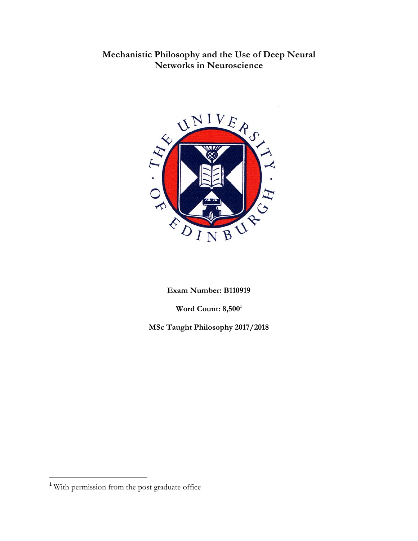# **Mechanistic Philosophy and the Use of Deep Neural Networks in Neuroscience**



**Exam Number: B110919**

**Word Count: 8,500**<sup>1</sup>

**MSc Taught Philosophy 2017/2018**

<sup>&</sup>lt;sup>1</sup> With permission from the post graduate office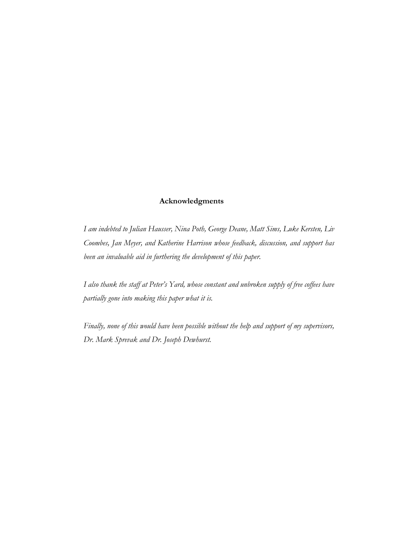## **Acknowledgments**

*I am indebted to Julian Hausser, Nina Poth, George Deane, Matt Sims, Luke Kersten, Liv Coombes, Jan Meyer, and Katherine Harrison whose feedback, discussion, and support has been an invaluable aid in furthering the development of this paper.*

*I also thank the staff at Peter's Yard, whose constant and unbroken supply of free coffees have partially gone into making this paper what it is.*

*Finally, none of this would have been possible without the help and support of my supervisors, Dr. Mark Sprevak and Dr. Joseph Dewhurst.*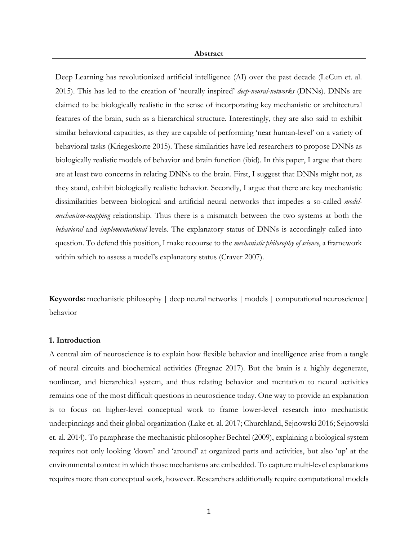Deep Learning has revolutionized artificial intelligence (AI) over the past decade (LeCun et. al. 2015). This has led to the creation of 'neurally inspired' *deep-neural-networks* (DNNs). DNNs are claimed to be biologically realistic in the sense of incorporating key mechanistic or architectural features of the brain, such as a hierarchical structure. Interestingly, they are also said to exhibit similar behavioral capacities, as they are capable of performing 'near human-level' on a variety of behavioral tasks (Kriegeskorte 2015). These similarities have led researchers to propose DNNs as biologically realistic models of behavior and brain function (ibid). In this paper, I argue that there are at least two concerns in relating DNNs to the brain. First, I suggest that DNNs might not, as they stand, exhibit biologically realistic behavior. Secondly, I argue that there are key mechanistic dissimilarities between biological and artificial neural networks that impedes a so-called *modelmechanism-mapping* relationship. Thus there is a mismatch between the two systems at both the *behavioral* and *implementational* levels. The explanatory status of DNNs is accordingly called into question. To defend this position, I make recourse to the *mechanistic philosophy of science*, a framework within which to assess a model's explanatory status (Craver 2007).

**Keywords:** mechanistic philosophy | deep neural networks | models | computational neuroscience | behavior

## **1. Introduction**

A central aim of neuroscience is to explain how flexible behavior and intelligence arise from a tangle of neural circuits and biochemical activities (Fregnac 2017). But the brain is a highly degenerate, nonlinear, and hierarchical system, and thus relating behavior and mentation to neural activities remains one of the most difficult questions in neuroscience today. One way to provide an explanation is to focus on higher-level conceptual work to frame lower-level research into mechanistic underpinnings and their global organization (Lake et. al. 2017; Churchland, Sejnowski 2016; Sejnowski et. al. 2014). To paraphrase the mechanistic philosopher Bechtel (2009), explaining a biological system requires not only looking 'down' and 'around' at organized parts and activities, but also 'up' at the environmental context in which those mechanisms are embedded. To capture multi-level explanations requires more than conceptual work, however. Researchers additionally require computational models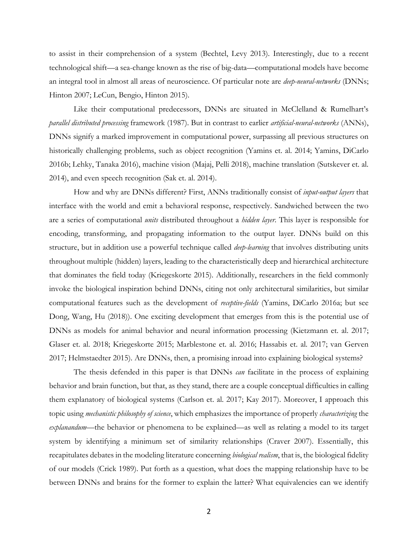to assist in their comprehension of a system (Bechtel, Levy 2013). Interestingly, due to a recent technological shift—a sea-change known as the rise of big-data—computational models have become an integral tool in almost all areas of neuroscience. Of particular note are *deep-neural-networks* (DNNs; Hinton 2007; LeCun, Bengio, Hinton 2015).

Like their computational predecessors, DNNs are situated in McClelland & Rumelhart's *parallel distributed processing* framework (1987). But in contrast to earlier *artificial-neural-networks* (ANNs), DNNs signify a marked improvement in computational power, surpassing all previous structures on historically challenging problems, such as object recognition (Yamins et. al. 2014; Yamins, DiCarlo 2016b; Lehky, Tanaka 2016), machine vision (Majaj, Pelli 2018), machine translation (Sutskever et. al. 2014), and even speech recognition (Sak et. al. 2014).

How and why are DNNs different? First, ANNs traditionally consist of *input-output layers* that interface with the world and emit a behavioral response, respectively. Sandwiched between the two are a series of computational *units* distributed throughout a *hidden layer*. This layer is responsible for encoding, transforming, and propagating information to the output layer. DNNs build on this structure, but in addition use a powerful technique called *deep-learning* that involves distributing units throughout multiple (hidden) layers, leading to the characteristically deep and hierarchical architecture that dominates the field today (Kriegeskorte 2015). Additionally, researchers in the field commonly invoke the biological inspiration behind DNNs, citing not only architectural similarities, but similar computational features such as the development of *receptive-fields* (Yamins, DiCarlo 2016a; but see Dong, Wang, Hu (2018)). One exciting development that emerges from this is the potential use of DNNs as models for animal behavior and neural information processing (Kietzmann et. al. 2017; Glaser et. al. 2018; Kriegeskorte 2015; Marblestone et. al. 2016; Hassabis et. al. 2017; van Gerven 2017; Helmstaedter 2015). Are DNNs, then, a promising inroad into explaining biological systems?

The thesis defended in this paper is that DNNs *can* facilitate in the process of explaining behavior and brain function, but that, as they stand, there are a couple conceptual difficulties in calling them explanatory of biological systems (Carlson et. al. 2017; Kay 2017). Moreover, I approach this topic using *mechanistic philosophy of science*, which emphasizes the importance of properly *characterizing* the *explanandum*—the behavior or phenomena to be explained—as well as relating a model to its target system by identifying a minimum set of similarity relationships (Craver 2007). Essentially, this recapitulates debates in the modeling literature concerning *biological realism*, that is, the biological fidelity of our models (Crick 1989). Put forth as a question, what does the mapping relationship have to be between DNNs and brains for the former to explain the latter? What equivalencies can we identify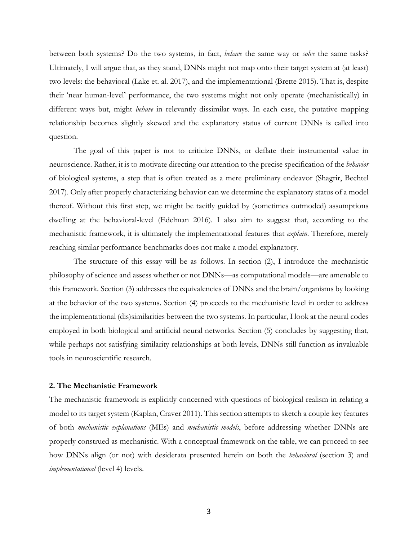between both systems? Do the two systems, in fact, *behave* the same way or *solve* the same tasks? Ultimately, I will argue that, as they stand, DNNs might not map onto their target system at (at least) two levels: the behavioral (Lake et. al. 2017), and the implementational (Brette 2015). That is, despite their 'near human-level' performance, the two systems might not only operate (mechanistically) in different ways but, might *behave* in relevantly dissimilar ways. In each case, the putative mapping relationship becomes slightly skewed and the explanatory status of current DNNs is called into question.

The goal of this paper is not to criticize DNNs, or deflate their instrumental value in neuroscience. Rather, it is to motivate directing our attention to the precise specification of the *behavior*  of biological systems, a step that is often treated as a mere preliminary endeavor (Shagrir, Bechtel 2017). Only after properly characterizing behavior can we determine the explanatory status of a model thereof. Without this first step, we might be tacitly guided by (sometimes outmoded) assumptions dwelling at the behavioral-level (Edelman 2016). I also aim to suggest that, according to the mechanistic framework, it is ultimately the implementational features that *explain*. Therefore, merely reaching similar performance benchmarks does not make a model explanatory.

The structure of this essay will be as follows. In section (2), I introduce the mechanistic philosophy of science and assess whether or not DNNs—as computational models—are amenable to this framework. Section (3) addresses the equivalencies of DNNs and the brain/organisms by looking at the behavior of the two systems. Section (4) proceeds to the mechanistic level in order to address the implementational (dis)similarities between the two systems. In particular, I look at the neural codes employed in both biological and artificial neural networks. Section (5) concludes by suggesting that, while perhaps not satisfying similarity relationships at both levels, DNNs still function as invaluable tools in neuroscientific research.

## **2. The Mechanistic Framework**

The mechanistic framework is explicitly concerned with questions of biological realism in relating a model to its target system (Kaplan, Craver 2011). This section attempts to sketch a couple key features of both *mechanistic explanations* (MEs) and *mechanistic models*, before addressing whether DNNs are properly construed as mechanistic. With a conceptual framework on the table, we can proceed to see how DNNs align (or not) with desiderata presented herein on both the *behavioral* (section 3) and *implementational* (level 4) levels.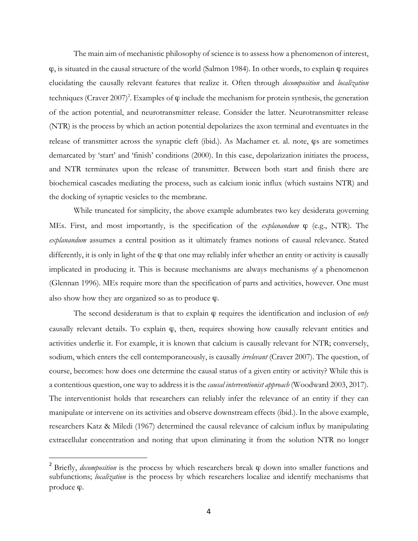The main aim of mechanistic philosophy of science is to assess how a phenomenon of interest,  $\varphi$ , is situated in the causal structure of the world (Salmon 1984). In other words, to explain  $\varphi$  requires elucidating the causally relevant features that realize it. Often through *decomposition* and *localization*  techniques (Craver 2007)<sup>2</sup>. Examples of  $\varphi$  include the mechanism for protein synthesis, the generation of the action potential, and neurotransmitter release. Consider the latter. Neurotransmitter release (NTR) is the process by which an action potential depolarizes the axon terminal and eventuates in the release of transmitter across the synaptic cleft (ibid.). As Machamer et. al. note, ϕs are sometimes demarcated by 'start' and 'finish' conditions (2000). In this case, depolarization initiates the process, and NTR terminates upon the release of transmitter. Between both start and finish there are biochemical cascades mediating the process, such as calcium ionic influx (which sustains NTR) and the docking of synaptic vesicles to the membrane.

While truncated for simplicity, the above example adumbrates two key desiderata governing MEs. First, and most importantly, is the specification of the *explanandum* ϕ (e.g., NTR). The *explanandum* assumes a central position as it ultimately frames notions of causal relevance. Stated differently, it is only in light of the  $\varphi$  that one may reliably infer whether an entity or activity is causally implicated in producing it. This is because mechanisms are always mechanisms *of* a phenomenon (Glennan 1996). MEs require more than the specification of parts and activities, however. One must also show how they are organized so as to produce  $\varphi$ .

The second desideratum is that to explain ϕ requires the identification and inclusion of *only*  causally relevant details. To explain ϕ, then, requires showing how causally relevant entities and activities underlie it. For example, it is known that calcium is causally relevant for NTR; conversely, sodium, which enters the cell contemporaneously, is causally *irrelevant* (Craver 2007). The question, of course, becomes: how does one determine the causal status of a given entity or activity? While this is a contentious question, one way to address it is the *causal interventionist approach* (Woodward 2003, 2017). The interventionist holds that researchers can reliably infer the relevance of an entity if they can manipulate or intervene on its activities and observe downstream effects (ibid.). In the above example, researchers Katz & Miledi (1967) determined the causal relevance of calcium influx by manipulating extracellular concentration and noting that upon eliminating it from the solution NTR no longer

<sup>&</sup>lt;sup>2</sup> Briefly, *decomposition* is the process by which researchers break φ down into smaller functions and subfunctions; *localization* is the process by which researchers localize and identify mechanisms that produce ϕ.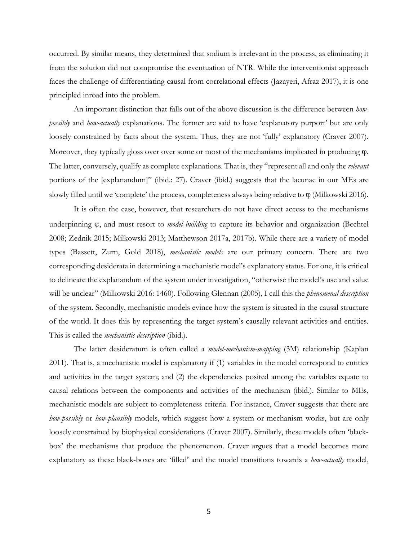occurred. By similar means, they determined that sodium is irrelevant in the process, as eliminating it from the solution did not compromise the eventuation of NTR. While the interventionist approach faces the challenge of differentiating causal from correlational effects (Jazayeri, Afraz 2017), it is one principled inroad into the problem.

An important distinction that falls out of the above discussion is the difference between *howpossibly* and *how-actually* explanations. The former are said to have 'explanatory purport' but are only loosely constrained by facts about the system. Thus, they are not 'fully' explanatory (Craver 2007). Moreover, they typically gloss over over some or most of the mechanisms implicated in producing ϕ. The latter, conversely, qualify as complete explanations. That is, they "represent all and only the *relevant*  portions of the [explanandum]" (ibid.: 27). Craver (ibid.) suggests that the lacunae in our MEs are slowly filled until we 'complete' the process, completeness always being relative to  $\varphi$  (Milkowski 2016).

It is often the case, however, that researchers do not have direct access to the mechanisms underpinning ϕ, and must resort to *model building* to capture its behavior and organization (Bechtel 2008; Zednik 2015; Milkowski 2013; Matthewson 2017a, 2017b). While there are a variety of model types (Bassett, Zurn, Gold 2018), *mechanistic models* are our primary concern. There are two corresponding desiderata in determining a mechanistic model's explanatory status. For one, it is critical to delineate the explanandum of the system under investigation, "otherwise the model's use and value will be unclear" (Milkowski 2016: 1460). Following Glennan (2005), I call this the *phenomenal description*  of the system. Secondly, mechanistic models evince how the system is situated in the causal structure of the world. It does this by representing the target system's causally relevant activities and entities. This is called the *mechanistic description* (ibid.).

The latter desideratum is often called a *model-mechanism-mapping* (3M) relationship (Kaplan 2011). That is, a mechanistic model is explanatory if (1) variables in the model correspond to entities and activities in the target system; and (2) the dependencies posited among the variables equate to causal relations between the components and activities of the mechanism (ibid.). Similar to MEs, mechanistic models are subject to completeness criteria. For instance, Craver suggests that there are *how-possibly* or *how-plausibly* models, which suggest how a system or mechanism works, but are only loosely constrained by biophysical considerations (Craver 2007). Similarly, these models often 'blackbox' the mechanisms that produce the phenomenon. Craver argues that a model becomes more explanatory as these black-boxes are 'filled' and the model transitions towards a *how-actually* model,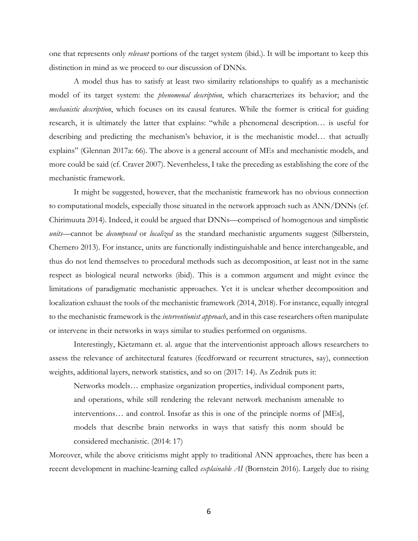one that represents only *relevant* portions of the target system (ibid.). It will be important to keep this distinction in mind as we proceed to our discussion of DNNs.

A model thus has to satisfy at least two similarity relationships to qualify as a mechanistic model of its target system: the *phenomenal description*, which characrterizes its behavior; and the *mechanistic description*, which focuses on its causal features. While the former is critical for guiding research, it is ultimately the latter that explains: "while a phenomenal description… is useful for describing and predicting the mechanism's behavior, it is the mechanistic model… that actually explains" (Glennan 2017a: 66). The above is a general account of MEs and mechanistic models, and more could be said (cf. Craver 2007). Nevertheless, I take the preceding as establishing the core of the mechanistic framework.

It might be suggested, however, that the mechanistic framework has no obvious connection to computational models, especially those situated in the network approach such as ANN/DNNs (cf. Chirimuuta 2014). Indeed, it could be argued that DNNs—comprised of homogenous and simplistic *units*—cannot be *decomposed* or *localized* as the standard mechanistic arguments suggest (Silberstein, Chemero 2013). For instance, units are functionally indistinguishable and hence interchangeable, and thus do not lend themselves to procedural methods such as decomposition, at least not in the same respect as biological neural networks (ibid). This is a common argument and might evince the limitations of paradigmatic mechanistic approaches. Yet it is unclear whether decomposition and localization exhaust the tools of the mechanistic framework (2014, 2018). For instance, equally integral to the mechanistic framework is the *interventionist approach*, and in this case researchers often manipulate or intervene in their networks in ways similar to studies performed on organisms.

Interestingly, Kietzmann et. al. argue that the interventionist approach allows researchers to assess the relevance of architectural features (feedforward or recurrent structures, say), connection weights, additional layers, network statistics, and so on (2017: 14). As Zednik puts it:

Networks models… emphasize organization properties, individual component parts, and operations, while still rendering the relevant network mechanism amenable to interventions… and control. Insofar as this is one of the principle norms of [MEs], models that describe brain networks in ways that satisfy this norm should be considered mechanistic. (2014: 17)

Moreover, while the above criticisms might apply to traditional ANN approaches, there has been a recent development in machine-learning called *explainable AI* (Bornstein 2016). Largely due to rising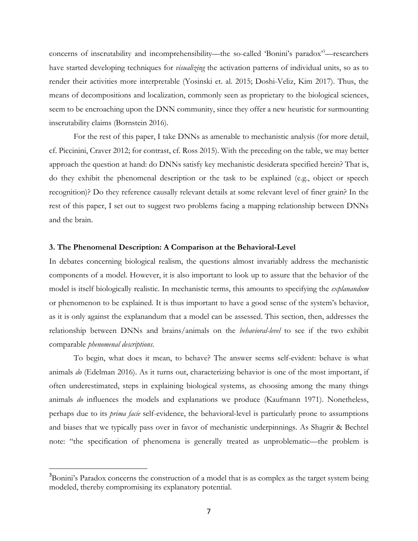concerns of inscrutability and incomprehensibility—the so-called 'Bonini's paradox<sup>33</sup>—researchers have started developing techniques for *visualizing* the activation patterns of individual units, so as to render their activities more interpretable (Yosinski et. al. 2015; Doshi-Veliz, Kim 2017). Thus, the means of decompositions and localization, commonly seen as proprietary to the biological sciences, seem to be encroaching upon the DNN community, since they offer a new heuristic for surmounting inscrutability claims (Bornstein 2016).

For the rest of this paper, I take DNNs as amenable to mechanistic analysis (for more detail, cf. Piccinini, Craver 2012; for contrast, cf. Ross 2015). With the preceding on the table, we may better approach the question at hand: do DNNs satisfy key mechanistic desiderata specified herein? That is, do they exhibit the phenomenal description or the task to be explained (e.g., object or speech recognition)? Do they reference causally relevant details at some relevant level of finer grain? In the rest of this paper, I set out to suggest two problems facing a mapping relationship between DNNs and the brain.

## **3. The Phenomenal Description: A Comparison at the Behavioral-Level**

In debates concerning biological realism, the questions almost invariably address the mechanistic components of a model. However, it is also important to look up to assure that the behavior of the model is itself biologically realistic. In mechanistic terms, this amounts to specifying the *explanandum*  or phenomenon to be explained. It is thus important to have a good sense of the system's behavior, as it is only against the explanandum that a model can be assessed. This section, then, addresses the relationship between DNNs and brains/animals on the *behavioral-level* to see if the two exhibit comparable *phenomenal descriptions*.

To begin, what does it mean, to behave? The answer seems self-evident: behave is what animals *do* (Edelman 2016). As it turns out, characterizing behavior is one of the most important, if often underestimated, steps in explaining biological systems, as choosing among the many things animals *do* influences the models and explanations we produce (Kaufmann 1971). Nonetheless, perhaps due to its *prima facie* self-evidence, the behavioral-level is particularly prone to assumptions and biases that we typically pass over in favor of mechanistic underpinnings. As Shagrir & Bechtel note: "the specification of phenomena is generally treated as unproblematic—the problem is

<sup>&</sup>lt;sup>3</sup>Bonini's Paradox concerns the construction of a model that is as complex as the target system being modeled, thereby compromising its explanatory potential.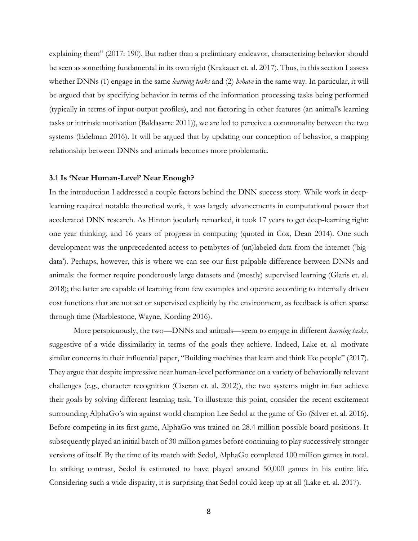explaining them" (2017: 190). But rather than a preliminary endeavor, characterizing behavior should be seen as something fundamental in its own right (Krakauer et. al. 2017). Thus, in this section I assess whether DNNs (1) engage in the same *learning tasks* and (2) *behave* in the same way. In particular, it will be argued that by specifying behavior in terms of the information processing tasks being performed (typically in terms of input-output profiles), and not factoring in other features (an animal's learning tasks or intrinsic motivation (Baldasarre 2011)), we are led to perceive a commonality between the two systems (Edelman 2016). It will be argued that by updating our conception of behavior, a mapping relationship between DNNs and animals becomes more problematic.

#### **3.1 Is 'Near Human-Level' Near Enough?**

In the introduction I addressed a couple factors behind the DNN success story. While work in deeplearning required notable theoretical work, it was largely advancements in computational power that accelerated DNN research. As Hinton jocularly remarked, it took 17 years to get deep-learning right: one year thinking, and 16 years of progress in computing (quoted in Cox, Dean 2014). One such development was the unprecedented access to petabytes of (un)labeled data from the internet ('bigdata'). Perhaps, however, this is where we can see our first palpable difference between DNNs and animals: the former require ponderously large datasets and (mostly) supervised learning (Glaris et. al. 2018); the latter are capable of learning from few examples and operate according to internally driven cost functions that are not set or supervised explicitly by the environment, as feedback is often sparse through time (Marblestone, Wayne, Kording 2016).

More perspicuously, the two—DNNs and animals—seem to engage in different *learning tasks*, suggestive of a wide dissimilarity in terms of the goals they achieve. Indeed, Lake et. al. motivate similar concerns in their influential paper, "Building machines that learn and think like people" (2017). They argue that despite impressive near human-level performance on a variety of behaviorally relevant challenges (e.g., character recognition (Ciseran et. al. 2012)), the two systems might in fact achieve their goals by solving different learning task. To illustrate this point, consider the recent excitement surrounding AlphaGo's win against world champion Lee Sedol at the game of Go (Silver et. al. 2016). Before competing in its first game, AlphaGo was trained on 28.4 million possible board positions. It subsequently played an initial batch of 30 million games before continuing to play successively stronger versions of itself. By the time of its match with Sedol, AlphaGo completed 100 million games in total. In striking contrast, Sedol is estimated to have played around 50,000 games in his entire life. Considering such a wide disparity, it is surprising that Sedol could keep up at all (Lake et. al. 2017).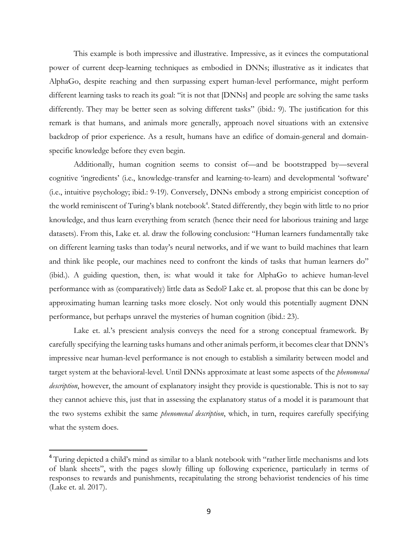This example is both impressive and illustrative. Impressive, as it evinces the computational power of current deep-learning techniques as embodied in DNNs; illustrative as it indicates that AlphaGo, despite reaching and then surpassing expert human-level performance, might perform different learning tasks to reach its goal: "it is not that [DNNs] and people are solving the same tasks differently. They may be better seen as solving different tasks" (ibid.: 9). The justification for this remark is that humans, and animals more generally, approach novel situations with an extensive backdrop of prior experience. As a result, humans have an edifice of domain-general and domainspecific knowledge before they even begin.

Additionally, human cognition seems to consist of—and be bootstrapped by—several cognitive 'ingredients' (i.e., knowledge-transfer and learning-to-learn) and developmental 'software' (i.e., intuitive psychology; ibid.: 9-19). Conversely, DNNs embody a strong empiricist conception of the world reminiscent of Turing's blank notebook<sup>4</sup>. Stated differently, they begin with little to no prior knowledge, and thus learn everything from scratch (hence their need for laborious training and large datasets). From this, Lake et. al. draw the following conclusion: "Human learners fundamentally take on different learning tasks than today's neural networks, and if we want to build machines that learn and think like people, our machines need to confront the kinds of tasks that human learners do" (ibid.). A guiding question, then, is: what would it take for AlphaGo to achieve human-level performance with as (comparatively) little data as Sedol? Lake et. al. propose that this can be done by approximating human learning tasks more closely. Not only would this potentially augment DNN performance, but perhaps unravel the mysteries of human cognition (ibid.: 23).

Lake et. al.'s prescient analysis conveys the need for a strong conceptual framework. By carefully specifying the learning tasks humans and other animals perform, it becomes clear that DNN's impressive near human-level performance is not enough to establish a similarity between model and target system at the behavioral-level. Until DNNs approximate at least some aspects of the *phenomenal description*, however, the amount of explanatory insight they provide is questionable. This is not to say they cannot achieve this, just that in assessing the explanatory status of a model it is paramount that the two systems exhibit the same *phenomenal description*, which, in turn, requires carefully specifying what the system does.

<sup>&</sup>lt;sup>4</sup> Turing depicted a child's mind as similar to a blank notebook with "rather little mechanisms and lots of blank sheets", with the pages slowly filling up following experience, particularly in terms of responses to rewards and punishments, recapitulating the strong behaviorist tendencies of his time (Lake et. al. 2017).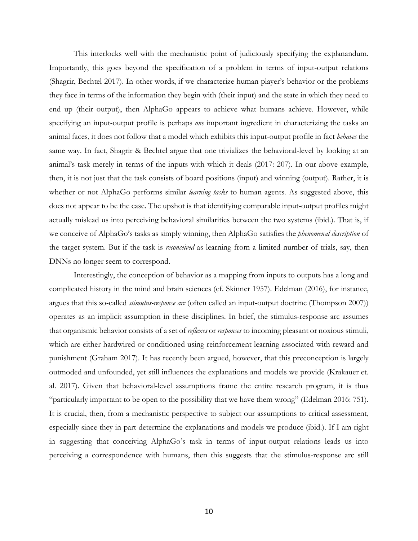This interlocks well with the mechanistic point of judiciously specifying the explanandum. Importantly, this goes beyond the specification of a problem in terms of input-output relations (Shagrir, Bechtel 2017). In other words, if we characterize human player's behavior or the problems they face in terms of the information they begin with (their input) and the state in which they need to end up (their output), then AlphaGo appears to achieve what humans achieve. However, while specifying an input-output profile is perhaps *one* important ingredient in characterizing the tasks an animal faces, it does not follow that a model which exhibits this input-output profile in fact *behaves* the same way. In fact, Shagrir & Bechtel argue that one trivializes the behavioral-level by looking at an animal's task merely in terms of the inputs with which it deals (2017: 207). In our above example, then, it is not just that the task consists of board positions (input) and winning (output). Rather, it is whether or not AlphaGo performs similar *learning tasks* to human agents. As suggested above, this does not appear to be the case. The upshot is that identifying comparable input-output profiles might actually mislead us into perceiving behavioral similarities between the two systems (ibid.). That is, if we conceive of AlphaGo's tasks as simply winning, then AlphaGo satisfies the *phenomenal description* of the target system. But if the task is *reconceived* as learning from a limited number of trials, say, then DNNs no longer seem to correspond.

Interestingly, the conception of behavior as a mapping from inputs to outputs has a long and complicated history in the mind and brain sciences (cf. Skinner 1957). Edelman (2016), for instance, argues that this so-called *stimulus-response arc* (often called an input-output doctrine (Thompson 2007)) operates as an implicit assumption in these disciplines. In brief, the stimulus-response arc assumes that organismic behavior consists of a set of *reflexes* or *responses* to incoming pleasant or noxious stimuli, which are either hardwired or conditioned using reinforcement learning associated with reward and punishment (Graham 2017). It has recently been argued, however, that this preconception is largely outmoded and unfounded, yet still influences the explanations and models we provide (Krakauer et. al. 2017). Given that behavioral-level assumptions frame the entire research program, it is thus "particularly important to be open to the possibility that we have them wrong" (Edelman 2016: 751). It is crucial, then, from a mechanistic perspective to subject our assumptions to critical assessment, especially since they in part determine the explanations and models we produce (ibid.). If I am right in suggesting that conceiving AlphaGo's task in terms of input-output relations leads us into perceiving a correspondence with humans, then this suggests that the stimulus-response arc still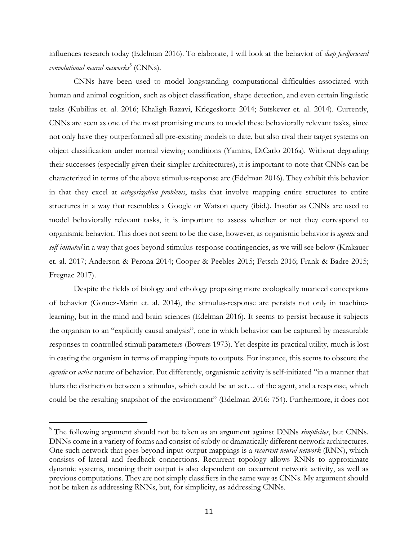influences research today (Edelman 2016). To elaborate, I will look at the behavior of *deep feedforward convolutional neural networks*<sup>5</sup> (CNNs).

CNNs have been used to model longstanding computational difficulties associated with human and animal cognition, such as object classification, shape detection, and even certain linguistic tasks (Kubilius et. al. 2016; Khaligh-Razavi, Kriegeskorte 2014; Sutskever et. al. 2014). Currently, CNNs are seen as one of the most promising means to model these behaviorally relevant tasks, since not only have they outperformed all pre-existing models to date, but also rival their target systems on object classification under normal viewing conditions (Yamins, DiCarlo 2016a). Without degrading their successes (especially given their simpler architectures), it is important to note that CNNs can be characterized in terms of the above stimulus-response arc (Edelman 2016). They exhibit this behavior in that they excel at *categorization problems*, tasks that involve mapping entire structures to entire structures in a way that resembles a Google or Watson query (ibid.). Insofar as CNNs are used to model behaviorally relevant tasks, it is important to assess whether or not they correspond to organismic behavior. This does not seem to be the case, however, as organismic behavior is *agentic* and *self-initiated* in a way that goes beyond stimulus-response contingencies, as we will see below (Krakauer et. al. 2017; Anderson & Perona 2014; Cooper & Peebles 2015; Fetsch 2016; Frank & Badre 2015; Fregnac 2017).

Despite the fields of biology and ethology proposing more ecologically nuanced conceptions of behavior (Gomez-Marin et. al. 2014), the stimulus-response arc persists not only in machinelearning, but in the mind and brain sciences (Edelman 2016). It seems to persist because it subjects the organism to an "explicitly causal analysis", one in which behavior can be captured by measurable responses to controlled stimuli parameters (Bowers 1973). Yet despite its practical utility, much is lost in casting the organism in terms of mapping inputs to outputs. For instance, this seems to obscure the *agentic* or *active* nature of behavior. Put differently, organismic activity is self-initiated "in a manner that blurs the distinction between a stimulus, which could be an act… of the agent, and a response, which could be the resulting snapshot of the environment" (Edelman 2016: 754). Furthermore, it does not

<sup>5</sup> The following argument should not be taken as an argument against DNNs *simpliciter*, but CNNs. DNNs come in a variety of forms and consist of subtly or dramatically different network architectures. One such network that goes beyond input-output mappings is a *recurrent neural network* (RNN), which consists of lateral and feedback connections. Recurrent topology allows RNNs to approximate dynamic systems, meaning their output is also dependent on occurrent network activity, as well as previous computations. They are not simply classifiers in the same way as CNNs. My argument should not be taken as addressing RNNs, but, for simplicity, as addressing CNNs.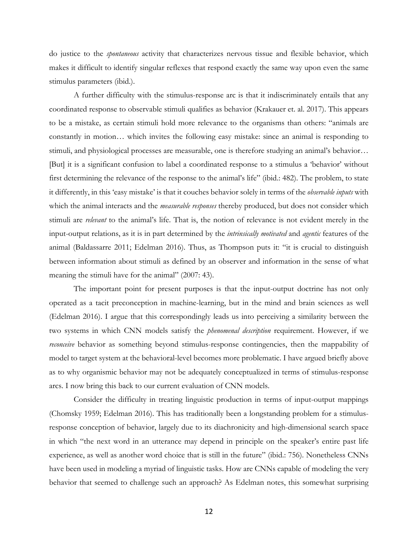do justice to the *spontaneous* activity that characterizes nervous tissue and flexible behavior, which makes it difficult to identify singular reflexes that respond exactly the same way upon even the same stimulus parameters (ibid.).

A further difficulty with the stimulus-response arc is that it indiscriminately entails that any coordinated response to observable stimuli qualifies as behavior (Krakauer et. al. 2017). This appears to be a mistake, as certain stimuli hold more relevance to the organisms than others: "animals are constantly in motion… which invites the following easy mistake: since an animal is responding to stimuli, and physiological processes are measurable, one is therefore studying an animal's behavior… [But] it is a significant confusion to label a coordinated response to a stimulus a 'behavior' without first determining the relevance of the response to the animal's life" (ibid.: 482). The problem, to state it differently, in this 'easy mistake' is that it couches behavior solely in terms of the *observable inputs* with which the animal interacts and the *measurable responses* thereby produced, but does not consider which stimuli are *relevant* to the animal's life. That is, the notion of relevance is not evident merely in the input-output relations, as it is in part determined by the *intrinsically motivated* and *agentic* features of the animal (Baldassarre 2011; Edelman 2016). Thus, as Thompson puts it: "it is crucial to distinguish between information about stimuli as defined by an observer and information in the sense of what meaning the stimuli have for the animal" (2007: 43).

The important point for present purposes is that the input-output doctrine has not only operated as a tacit preconception in machine-learning, but in the mind and brain sciences as well (Edelman 2016). I argue that this correspondingly leads us into perceiving a similarity between the two systems in which CNN models satisfy the *phenomenal description* requirement. However, if we *reconceive* behavior as something beyond stimulus-response contingencies, then the mappability of model to target system at the behavioral-level becomes more problematic. I have argued briefly above as to why organismic behavior may not be adequately conceptualized in terms of stimulus-response arcs. I now bring this back to our current evaluation of CNN models.

Consider the difficulty in treating linguistic production in terms of input-output mappings (Chomsky 1959; Edelman 2016). This has traditionally been a longstanding problem for a stimulusresponse conception of behavior, largely due to its diachronicity and high-dimensional search space in which "the next word in an utterance may depend in principle on the speaker's entire past life experience, as well as another word choice that is still in the future" (ibid.: 756). Nonetheless CNNs have been used in modeling a myriad of linguistic tasks. How are CNNs capable of modeling the very behavior that seemed to challenge such an approach? As Edelman notes, this somewhat surprising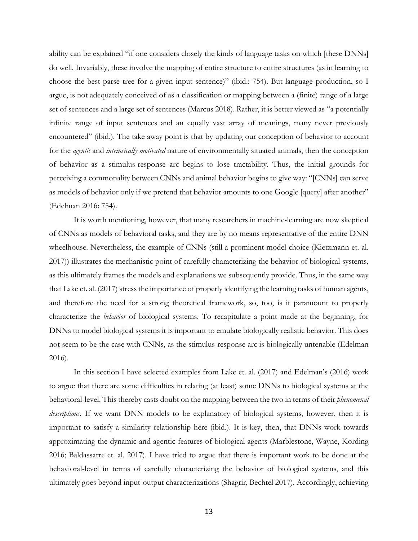ability can be explained "if one considers closely the kinds of language tasks on which [these DNNs] do well. Invariably, these involve the mapping of entire structure to entire structures (as in learning to choose the best parse tree for a given input sentence)" (ibid.: 754). But language production, so I argue, is not adequately conceived of as a classification or mapping between a (finite) range of a large set of sentences and a large set of sentences (Marcus 2018). Rather, it is better viewed as "a potentially infinite range of input sentences and an equally vast array of meanings, many never previously encountered" (ibid.). The take away point is that by updating our conception of behavior to account for the *agentic* and *intrinsically motivated* nature of environmentally situated animals, then the conception of behavior as a stimulus-response arc begins to lose tractability. Thus, the initial grounds for perceiving a commonality between CNNs and animal behavior begins to give way: "[CNNs] can serve as models of behavior only if we pretend that behavior amounts to one Google [query] after another" (Edelman 2016: 754).

It is worth mentioning, however, that many researchers in machine-learning are now skeptical of CNNs as models of behavioral tasks, and they are by no means representative of the entire DNN wheelhouse. Nevertheless, the example of CNNs (still a prominent model choice (Kietzmann et. al. 2017)) illustrates the mechanistic point of carefully characterizing the behavior of biological systems, as this ultimately frames the models and explanations we subsequently provide. Thus, in the same way that Lake et. al. (2017) stress the importance of properly identifying the learning tasks of human agents, and therefore the need for a strong theoretical framework, so, too, is it paramount to properly characterize the *behavior* of biological systems. To recapitulate a point made at the beginning, for DNNs to model biological systems it is important to emulate biologically realistic behavior. This does not seem to be the case with CNNs, as the stimulus-response arc is biologically untenable (Edelman 2016).

In this section I have selected examples from Lake et. al. (2017) and Edelman's (2016) work to argue that there are some difficulties in relating (at least) some DNNs to biological systems at the behavioral-level. This thereby casts doubt on the mapping between the two in terms of their *phenomenal descriptions.* If we want DNN models to be explanatory of biological systems, however, then it is important to satisfy a similarity relationship here (ibid.). It is key, then, that DNNs work towards approximating the dynamic and agentic features of biological agents (Marblestone, Wayne, Kording 2016; Baldassarre et. al. 2017). I have tried to argue that there is important work to be done at the behavioral-level in terms of carefully characterizing the behavior of biological systems, and this ultimately goes beyond input-output characterizations (Shagrir, Bechtel 2017). Accordingly, achieving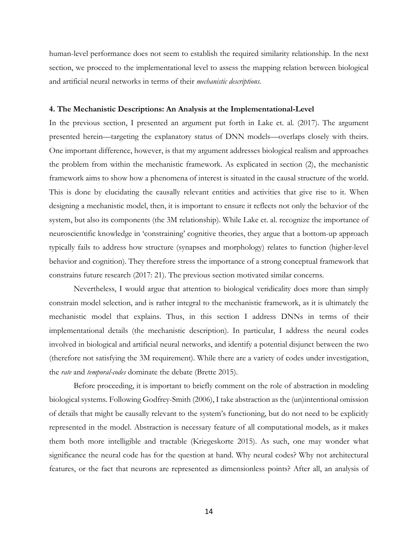human-level performance does not seem to establish the required similarity relationship. In the next section, we proceed to the implementational level to assess the mapping relation between biological and artificial neural networks in terms of their *mechanistic descriptions.* 

## **4. The Mechanistic Descriptions: An Analysis at the Implementational-Level**

In the previous section, I presented an argument put forth in Lake et. al. (2017). The argument presented herein—targeting the explanatory status of DNN models—overlaps closely with theirs. One important difference, however, is that my argument addresses biological realism and approaches the problem from within the mechanistic framework. As explicated in section (2), the mechanistic framework aims to show how a phenomena of interest is situated in the causal structure of the world. This is done by elucidating the causally relevant entities and activities that give rise to it. When designing a mechanistic model, then, it is important to ensure it reflects not only the behavior of the system, but also its components (the 3M relationship). While Lake et. al. recognize the importance of neuroscientific knowledge in 'constraining' cognitive theories, they argue that a bottom-up approach typically fails to address how structure (synapses and morphology) relates to function (higher-level behavior and cognition). They therefore stress the importance of a strong conceptual framework that constrains future research (2017: 21). The previous section motivated similar concerns.

Nevertheless, I would argue that attention to biological veridicality does more than simply constrain model selection, and is rather integral to the mechanistic framework, as it is ultimately the mechanistic model that explains. Thus, in this section I address DNNs in terms of their implementational details (the mechanistic description). In particular, I address the neural codes involved in biological and artificial neural networks, and identify a potential disjunct between the two (therefore not satisfying the 3M requirement). While there are a variety of codes under investigation, the *rate* and *temporal-codes* dominate the debate (Brette 2015).

Before proceeding, it is important to briefly comment on the role of abstraction in modeling biological systems. Following Godfrey-Smith (2006), I take abstraction as the (un)intentional omission of details that might be causally relevant to the system's functioning, but do not need to be explicitly represented in the model. Abstraction is necessary feature of all computational models, as it makes them both more intelligible and tractable (Kriegeskorte 2015). As such, one may wonder what significance the neural code has for the question at hand. Why neural codes? Why not architectural features, or the fact that neurons are represented as dimensionless points? After all, an analysis of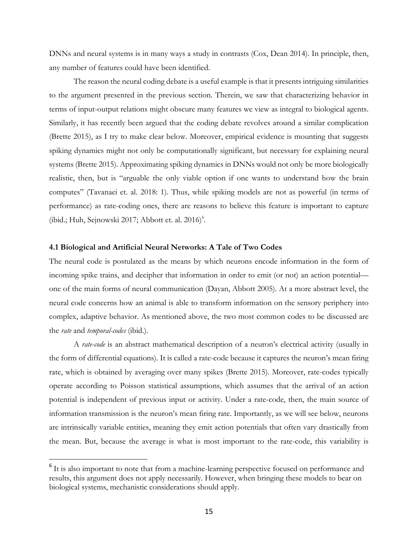DNNs and neural systems is in many ways a study in contrasts (Cox, Dean 2014). In principle, then, any number of features could have been identified.

The reason the neural coding debate is a useful example is that it presents intriguing similarities to the argument presented in the previous section. Therein, we saw that characterizing behavior in terms of input-output relations might obscure many features we view as integral to biological agents. Similarly, it has recently been argued that the coding debate revolves around a similar complication (Brette 2015), as I try to make clear below. Moreover, empirical evidence is mounting that suggests spiking dynamics might not only be computationally significant, but necessary for explaining neural systems (Brette 2015). Approximating spiking dynamics in DNNs would not only be more biologically realistic, then, but is "arguable the only viable option if one wants to understand how the brain computes" (Tavanaei et. al. 2018: 1). Thus, while spiking models are not as powerful (in terms of performance) as rate-coding ones, there are reasons to believe this feature is important to capture (ibid.; Huh, Sejnowski 2017; Abbott et. al.  $2016$ <sup>6</sup>.

## **4.1 Biological and Artificial Neural Networks: A Tale of Two Codes**

 

The neural code is postulated as the means by which neurons encode information in the form of incoming spike trains, and decipher that information in order to emit (or not) an action potential one of the main forms of neural communication (Dayan, Abbott 2005). At a more abstract level, the neural code concerns how an animal is able to transform information on the sensory periphery into complex, adaptive behavior. As mentioned above, the two most common codes to be discussed are the *rate* and *temporal-codes* (ibid.).

A *rate-code* is an abstract mathematical description of a neuron's electrical activity (usually in the form of differential equations). It is called a rate-code because it captures the neuron's mean firing rate, which is obtained by averaging over many spikes (Brette 2015). Moreover, rate-codes typically operate according to Poisson statistical assumptions, which assumes that the arrival of an action potential is independent of previous input or activity. Under a rate-code, then, the main source of information transmission is the neuron's mean firing rate. Importantly, as we will see below, neurons are intrinsically variable entities, meaning they emit action potentials that often vary drastically from the mean. But, because the average is what is most important to the rate-code, this variability is

<sup>&</sup>lt;sup>6</sup> It is also important to note that from a machine-learning perspective focused on performance and results, this argument does not apply necessarily. However, when bringing these models to bear on biological systems, mechanistic considerations should apply.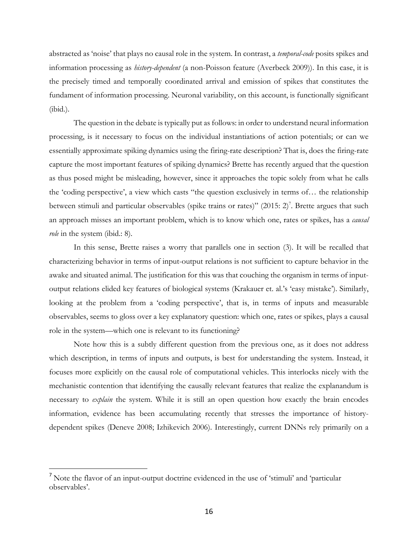abstracted as 'noise' that plays no causal role in the system. In contrast, a *temporal-code* posits spikes and information processing as *history-dependent* (a non-Poisson feature (Averbeck 2009)). In this case, it is the precisely timed and temporally coordinated arrival and emission of spikes that constitutes the fundament of information processing. Neuronal variability, on this account, is functionally significant (ibid.).

The question in the debate is typically put as follows: in order to understand neural information processing, is it necessary to focus on the individual instantiations of action potentials; or can we essentially approximate spiking dynamics using the firing-rate description? That is, does the firing-rate capture the most important features of spiking dynamics? Brette has recently argued that the question as thus posed might be misleading, however, since it approaches the topic solely from what he calls the 'coding perspective', a view which casts "the question exclusively in terms of… the relationship between stimuli and particular observables (spike trains or rates)"  $(2015: 2)^7$ . Brette argues that such an approach misses an important problem, which is to know which one, rates or spikes, has a *causal role* in the system (ibid.: 8).

In this sense, Brette raises a worry that parallels one in section (3). It will be recalled that characterizing behavior in terms of input-output relations is not sufficient to capture behavior in the awake and situated animal. The justification for this was that couching the organism in terms of inputoutput relations elided key features of biological systems (Krakauer et. al.'s 'easy mistake'). Similarly, looking at the problem from a 'coding perspective', that is, in terms of inputs and measurable observables, seems to gloss over a key explanatory question: which one, rates or spikes, plays a causal role in the system—which one is relevant to its functioning?

Note how this is a subtly different question from the previous one, as it does not address which description, in terms of inputs and outputs, is best for understanding the system. Instead, it focuses more explicitly on the causal role of computational vehicles. This interlocks nicely with the mechanistic contention that identifying the causally relevant features that realize the explanandum is necessary to *explain* the system. While it is still an open question how exactly the brain encodes information, evidence has been accumulating recently that stresses the importance of historydependent spikes (Deneve 2008; Izhikevich 2006). Interestingly, current DNNs rely primarily on a

<sup>7</sup> Note the flavor of an input-output doctrine evidenced in the use of 'stimuli' and 'particular observables'.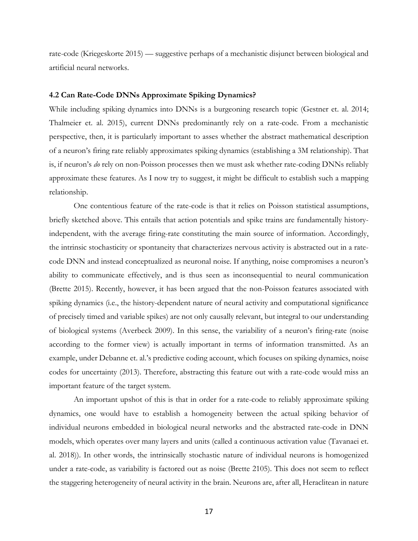rate-code (Kriegeskorte 2015) — suggestive perhaps of a mechanistic disjunct between biological and artificial neural networks.

## **4.2 Can Rate-Code DNNs Approximate Spiking Dynamics?**

While including spiking dynamics into DNNs is a burgeoning research topic (Gestner et. al. 2014; Thalmeier et. al. 2015), current DNNs predominantly rely on a rate-code. From a mechanistic perspective, then, it is particularly important to asses whether the abstract mathematical description of a neuron's firing rate reliably approximates spiking dynamics (establishing a 3M relationship). That is, if neuron's *do* rely on non-Poisson processes then we must ask whether rate-coding DNNs reliably approximate these features. As I now try to suggest, it might be difficult to establish such a mapping relationship.

One contentious feature of the rate-code is that it relies on Poisson statistical assumptions, briefly sketched above. This entails that action potentials and spike trains are fundamentally historyindependent, with the average firing-rate constituting the main source of information. Accordingly, the intrinsic stochasticity or spontaneity that characterizes nervous activity is abstracted out in a ratecode DNN and instead conceptualized as neuronal noise. If anything, noise compromises a neuron's ability to communicate effectively, and is thus seen as inconsequential to neural communication (Brette 2015). Recently, however, it has been argued that the non-Poisson features associated with spiking dynamics (i.e., the history-dependent nature of neural activity and computational significance of precisely timed and variable spikes) are not only causally relevant, but integral to our understanding of biological systems (Averbeck 2009). In this sense, the variability of a neuron's firing-rate (noise according to the former view) is actually important in terms of information transmitted. As an example, under Debanne et. al.'s predictive coding account, which focuses on spiking dynamics, noise codes for uncertainty (2013). Therefore, abstracting this feature out with a rate-code would miss an important feature of the target system.

An important upshot of this is that in order for a rate-code to reliably approximate spiking dynamics, one would have to establish a homogeneity between the actual spiking behavior of individual neurons embedded in biological neural networks and the abstracted rate-code in DNN models, which operates over many layers and units (called a continuous activation value (Tavanaei et. al. 2018)). In other words, the intrinsically stochastic nature of individual neurons is homogenized under a rate-code, as variability is factored out as noise (Brette 2105). This does not seem to reflect the staggering heterogeneity of neural activity in the brain. Neurons are, after all, Heraclitean in nature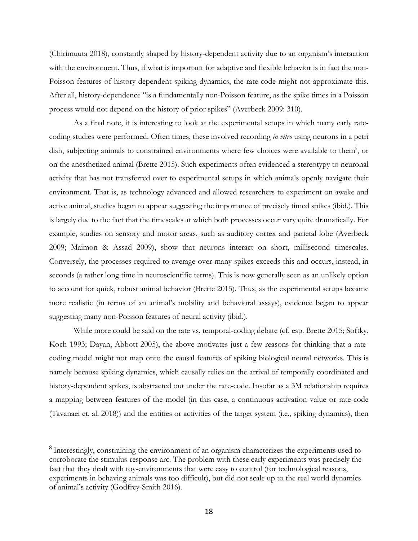(Chirimuuta 2018), constantly shaped by history-dependent activity due to an organism's interaction with the environment. Thus, if what is important for adaptive and flexible behavior is in fact the non-Poisson features of history-dependent spiking dynamics, the rate-code might not approximate this. After all, history-dependence "is a fundamentally non-Poisson feature, as the spike times in a Poisson process would not depend on the history of prior spikes" (Averbeck 2009: 310).

As a final note, it is interesting to look at the experimental setups in which many early ratecoding studies were performed. Often times, these involved recording *in vitro* using neurons in a petri dish, subjecting animals to constrained environments where few choices were available to them<sup>8</sup>, or on the anesthetized animal (Brette 2015). Such experiments often evidenced a stereotypy to neuronal activity that has not transferred over to experimental setups in which animals openly navigate their environment. That is, as technology advanced and allowed researchers to experiment on awake and active animal, studies began to appear suggesting the importance of precisely timed spikes (ibid.). This is largely due to the fact that the timescales at which both processes occur vary quite dramatically. For example, studies on sensory and motor areas, such as auditory cortex and parietal lobe (Averbeck 2009; Maimon & Assad 2009), show that neurons interact on short, millisecond timescales. Conversely, the processes required to average over many spikes exceeds this and occurs, instead, in seconds (a rather long time in neuroscientific terms). This is now generally seen as an unlikely option to account for quick, robust animal behavior (Brette 2015). Thus, as the experimental setups became more realistic (in terms of an animal's mobility and behavioral assays), evidence began to appear suggesting many non-Poisson features of neural activity (ibid.).

While more could be said on the rate vs. temporal-coding debate (cf. esp. Brette 2015; Softky, Koch 1993; Dayan, Abbott 2005), the above motivates just a few reasons for thinking that a ratecoding model might not map onto the causal features of spiking biological neural networks. This is namely because spiking dynamics, which causally relies on the arrival of temporally coordinated and history-dependent spikes, is abstracted out under the rate-code. Insofar as a 3M relationship requires a mapping between features of the model (in this case, a continuous activation value or rate-code (Tavanaei et. al. 2018)) and the entities or activities of the target system (i.e., spiking dynamics), then

<sup>&</sup>lt;sup>8</sup> Interestingly, constraining the environment of an organism characterizes the experiments used to corroborate the stimulus-response arc. The problem with these early experiments was precisely the fact that they dealt with toy-environments that were easy to control (for technological reasons, experiments in behaving animals was too difficult), but did not scale up to the real world dynamics of animal's activity (Godfrey-Smith 2016).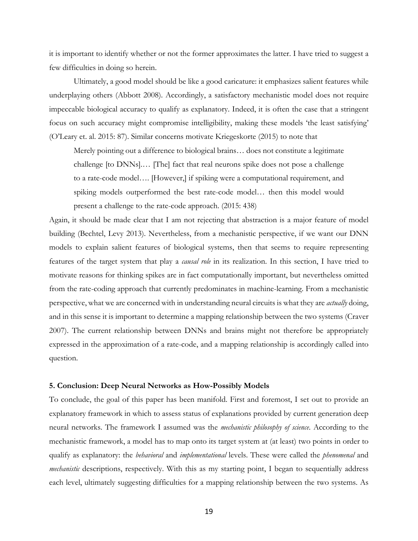it is important to identify whether or not the former approximates the latter. I have tried to suggest a few difficulties in doing so herein.

Ultimately, a good model should be like a good caricature: it emphasizes salient features while underplaying others (Abbott 2008). Accordingly, a satisfactory mechanistic model does not require impeccable biological accuracy to qualify as explanatory. Indeed, it is often the case that a stringent focus on such accuracy might compromise intelligibility, making these models 'the least satisfying' (O'Leary et. al. 2015: 87). Similar concerns motivate Kriegeskorte (2015) to note that

Merely pointing out a difference to biological brains… does not constitute a legitimate challenge [to DNNs].… [The] fact that real neurons spike does not pose a challenge to a rate-code model…. [However,] if spiking were a computational requirement, and spiking models outperformed the best rate-code model… then this model would present a challenge to the rate-code approach. (2015: 438)

Again, it should be made clear that I am not rejecting that abstraction is a major feature of model building (Bechtel, Levy 2013). Nevertheless, from a mechanistic perspective, if we want our DNN models to explain salient features of biological systems, then that seems to require representing features of the target system that play a *causal role* in its realization. In this section, I have tried to motivate reasons for thinking spikes are in fact computationally important, but nevertheless omitted from the rate-coding approach that currently predominates in machine-learning. From a mechanistic perspective, what we are concerned with in understanding neural circuits is what they are *actually* doing, and in this sense it is important to determine a mapping relationship between the two systems (Craver 2007). The current relationship between DNNs and brains might not therefore be appropriately expressed in the approximation of a rate-code, and a mapping relationship is accordingly called into question.

#### **5. Conclusion: Deep Neural Networks as How-Possibly Models**

To conclude, the goal of this paper has been manifold. First and foremost, I set out to provide an explanatory framework in which to assess status of explanations provided by current generation deep neural networks. The framework I assumed was the *mechanistic philosophy of science*. According to the mechanistic framework, a model has to map onto its target system at (at least) two points in order to qualify as explanatory: the *behavioral* and *implementational* levels. These were called the *phenomenal* and *mechanistic* descriptions, respectively. With this as my starting point, I began to sequentially address each level, ultimately suggesting difficulties for a mapping relationship between the two systems. As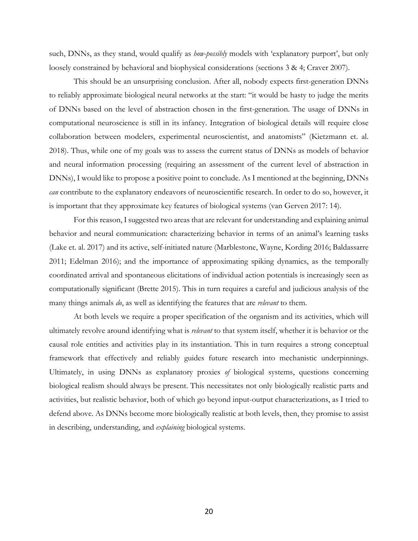such, DNNs, as they stand, would qualify as *how-possibly* models with 'explanatory purport', but only loosely constrained by behavioral and biophysical considerations (sections 3 & 4; Craver 2007).

This should be an unsurprising conclusion. After all, nobody expects first-generation DNNs to reliably approximate biological neural networks at the start: "it would be hasty to judge the merits of DNNs based on the level of abstraction chosen in the first-generation. The usage of DNNs in computational neuroscience is still in its infancy. Integration of biological details will require close collaboration between modelers, experimental neuroscientist, and anatomists" (Kietzmann et. al. 2018). Thus, while one of my goals was to assess the current status of DNNs as models of behavior and neural information processing (requiring an assessment of the current level of abstraction in DNNs), I would like to propose a positive point to conclude. As I mentioned at the beginning, DNNs *can* contribute to the explanatory endeavors of neuroscientific research. In order to do so, however, it is important that they approximate key features of biological systems (van Gerven 2017: 14).

For this reason, I suggested two areas that are relevant for understanding and explaining animal behavior and neural communication: characterizing behavior in terms of an animal's learning tasks (Lake et. al. 2017) and its active, self-initiated nature (Marblestone, Wayne, Kording 2016; Baldassarre 2011; Edelman 2016); and the importance of approximating spiking dynamics, as the temporally coordinated arrival and spontaneous elicitations of individual action potentials is increasingly seen as computationally significant (Brette 2015). This in turn requires a careful and judicious analysis of the many things animals *do*, as well as identifying the features that are *relevant* to them.

At both levels we require a proper specification of the organism and its activities, which will ultimately revolve around identifying what is *relevant* to that system itself, whether it is behavior or the causal role entities and activities play in its instantiation. This in turn requires a strong conceptual framework that effectively and reliably guides future research into mechanistic underpinnings. Ultimately, in using DNNs as explanatory proxies *of* biological systems, questions concerning biological realism should always be present. This necessitates not only biologically realistic parts and activities, but realistic behavior, both of which go beyond input-output characterizations, as I tried to defend above. As DNNs become more biologically realistic at both levels, then, they promise to assist in describing, understanding, and *explaining* biological systems.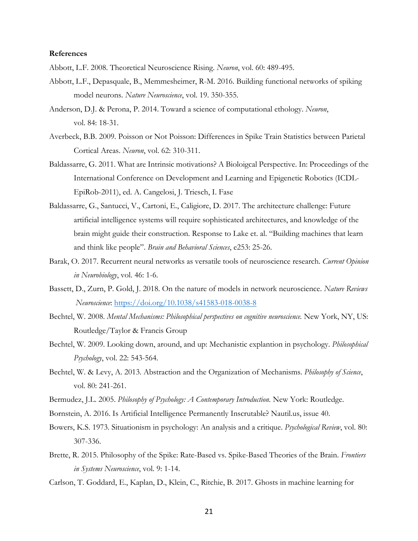#### **References**

Abbott, L.F. 2008. Theoretical Neuroscience Rising. *Neuron*, vol. 60: 489-495.

- Abbott, L.F., Depasquale, B., Memmesheimer, R-M. 2016. Building functional networks of spiking model neurons. *Nature Neuroscience*, vol. 19. 350-355.
- Anderson, D.J. & Perona, P. 2014. Toward a science of computational ethology. *Neuron*, vol. 84: 18-31.
- Averbeck, B.B. 2009. Poisson or Not Poisson: Differences in Spike Train Statistics between Parietal Cortical Areas. *Neuron*, vol. 62: 310-311.
- Baldassarre, G. 2011. What are Intrinsic motivations? A Bioloigcal Perspective. In: Proceedings of the International Conference on Development and Learning and Epigenetic Robotics (ICDL-EpiRob-2011), ed. A. Cangelosi, J. Triesch, I. Fase
- Baldassarre, G., Santucci, V., Cartoni, E., Caligiore, D. 2017. The architecture challenge: Future artificial intelligence systems will require sophisticated architectures, and knowledge of the brain might guide their construction. Response to Lake et. al. "Building machines that learn and think like people". *Brain and Behavioral Sciences*, e253: 25-26.
- Barak, O. 2017. Recurrent neural networks as versatile tools of neuroscience research. *Current Opinion in Neurobiology*, vol. 46: 1-6.
- Bassett, D., Zurn, P. Gold, J. 2018. On the nature of models in network neuroscience. *Nature Reviews Neuroscience*: https://doi.org/10.1038/s41583-018-0038-8
- Bechtel, W. 2008. *Mental Mechanisms: Philosophical perspectives on cognitive neuroscience*. New York, NY, US: Routledge/Taylor & Francis Group
- Bechtel, W. 2009. Looking down, around, and up: Mechanistic explantion in psychology. *Philosophical Psychology*, vol. 22: 543-564.
- Bechtel, W. & Levy, A. 2013. Abstraction and the Organization of Mechanisms. *Philosophy of Science*, vol. 80: 241-261.
- Bermudez, J.L. 2005. *Philosophy of Psychology: A Contemporary Introduction.* New York: Routledge.
- Bornstein, A. 2016. Is Artificial Intelligence Permanently Inscrutable? Nautil.us, issue 40.
- Bowers, K.S. 1973. Situationism in psychology: An analysis and a critique. *Psychological Review*, vol. 80: 307-336.
- Brette, R. 2015. Philosophy of the Spike: Rate-Based vs. Spike-Based Theories of the Brain. *Frontiers in Systems Neuroscience*, vol. 9: 1-14.
- Carlson, T. Goddard, E., Kaplan, D., Klein, C., Ritchie, B. 2017. Ghosts in machine learning for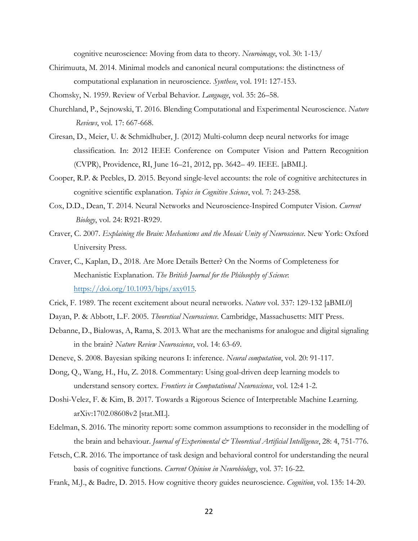cognitive neuroscience: Moving from data to theory. *Neuroimage*, vol. 30: 1-13/

- Chirimuuta, M. 2014. Minimal models and canonical neural computations: the distinctness of computational explanation in neuroscience. *Synthese*, vol. 191: 127-153.
- Chomsky, N. 1959. Review of Verbal Behavior. *Language*, vol. 35: 26–58.
- Churchland, P., Sejnowski, T. 2016. Blending Computational and Experimental Neuroscience. *Nature Reviews*, vol. 17: 667-668.
- Ciresan, D., Meier, U. & Schmidhuber, J. (2012) Multi-column deep neural networks for image classification. In: 2012 IEEE Conference on Computer Vision and Pattern Recognition (CVPR), Providence, RI, June 16–21, 2012, pp. 3642– 49. IEEE. [aBML].
- Cooper, R.P. & Peebles, D. 2015. Beyond single-level accounts: the role of cognitive architectures in cognitive scientific explanation. *Topics in Cognitive Science*, vol. 7: 243-258.
- Cox, D.D., Dean, T. 2014. Neural Networks and Neuroscience-Inspired Computer Vision. *Current Biology*, vol. 24: R921-R929.
- Craver, C. 2007. *Explaining the Brain: Mechanisms and the Mosaic Unity of Neuroscience*. New York: Oxford University Press.
- Craver, C., Kaplan, D., 2018. Are More Details Better? On the Norms of Completeness for Mechanistic Explanation. *The British Journal for the Philosophy of Science*: https://doi.org/10.1093/bjps/axy015.
- Crick, F. 1989. The recent excitement about neural networks. *Nature* vol. 337: 129-132 [aBML0]
- Dayan, P. & Abbott, L.F. 2005. *Theoretical Neuroscience*. Cambridge, Massachusetts: MIT Press.
- Debanne, D., Bialowas, A, Rama, S. 2013. What are the mechanisms for analogue and digital signaling in the brain? *Nature Review Neuroscience*, vol. 14: 63-69.
- Deneve, S. 2008. Bayesian spiking neurons I: inference. *Neural computation*, vol. 20: 91-117.
- Dong, Q., Wang, H., Hu, Z. 2018. Commentary: Using goal-driven deep learning models to understand sensory cortex. *Frontiers in Computational Neuroscience*, vol. 12:4 1-2.
- Doshi-Velez, F. & Kim, B. 2017. Towards a Rigorous Science of Interpretable Machine Learning. arXiv:1702.08608v2 [stat.ML].
- Edelman, S. 2016. The minority report: some common assumptions to reconsider in the modelling of the brain and behaviour. *Journal of Experimental & Theoretical Artificial Intelligence*, 28: 4, 751-776.
- Fetsch, C.R. 2016. The importance of task design and behavioral control for understanding the neural basis of cognitive functions. *Current Opinion in Neurobiology*, vol. 37: 16-22.
- Frank, M.J., & Badre, D. 2015. How cognitive theory guides neuroscience. *Cognition*, vol. 135: 14-20.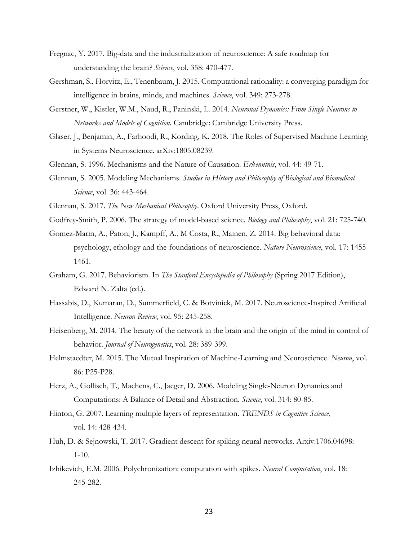- Fregnac, Y. 2017. Big-data and the industrialization of neuroscience: A safe roadmap for understanding the brain? *Science*, vol. 358: 470-477.
- Gershman, S., Horvitz, E., Tenenbaum, J. 2015. Computational rationality: a converging paradigm for intelligence in brains, minds, and machines. *Science*, vol. 349: 273-278.
- Gerstner, W., Kistler, W.M., Naud, R., Paninski, L. 2014. *Neuronal Dynamics: From Single Neurons to Networks and Models of Cognition.* Cambridge: Cambridge University Press.
- Glaser, J., Benjamin, A., Farhoodi, R., Kording, K. 2018. The Roles of Supervised Machine Learning in Systems Neuroscience. arXiv:1805.08239.
- Glennan, S. 1996. Mechanisms and the Nature of Causation. *Erkenntnis*, vol. 44: 49-71.
- Glennan, S. 2005. Modeling Mechanisms. *Studies in History and Philosophy of Biological and Biomedical Science*, vol. 36: 443-464.
- Glennan, S. 2017. *The New Mechanical Philosophy*. Oxford University Press, Oxford.
- Godfrey-Smith, P. 2006. The strategy of model-based science. *Biology and Philosophy*, vol. 21: 725-740.
- Gomez-Marin, A., Paton, J., Kampff, A., M Costa, R., Mainen, Z. 2014. Big behavioral data: psychology, ethology and the foundations of neuroscience. *Nature Neuroscience*, vol. 17: 1455- 1461.
- Graham, G. 2017. Behaviorism. In *The Stanford Encyclopedia of Philosophy* (Spring 2017 Edition), Edward N. Zalta (ed.).
- Hassabis, D., Kumaran, D., Summerfield, C. & Botvinick, M. 2017. Neuroscience-Inspired Artificial Intelligence. *Neuron Review*, vol. 95: 245-258.
- Heisenberg, M. 2014. The beauty of the network in the brain and the origin of the mind in control of behavior. *Journal of Neurogenetics*, vol. 28: 389-399.
- Helmstaedter, M. 2015. The Mutual Inspiration of Machine-Learning and Neuroscience. *Neuron*, vol. 86: P25-P28.
- Herz, A., Gollisch, T., Machens, C., Jaeger, D. 2006. Modeling Single-Neuron Dynamics and Computations: A Balance of Detail and Abstraction. *Science*, vol. 314: 80-85.
- Hinton, G. 2007. Learning multiple layers of representation. *TRENDS in Cognitive Science*, vol. 14: 428-434.
- Huh, D. & Sejnowski, T. 2017. Gradient descent for spiking neural networks. Arxiv:1706.04698: 1-10.
- Izhikevich, E.M. 2006. Polychronization: computation with spikes. *Neural Computation*, vol. 18: 245-282.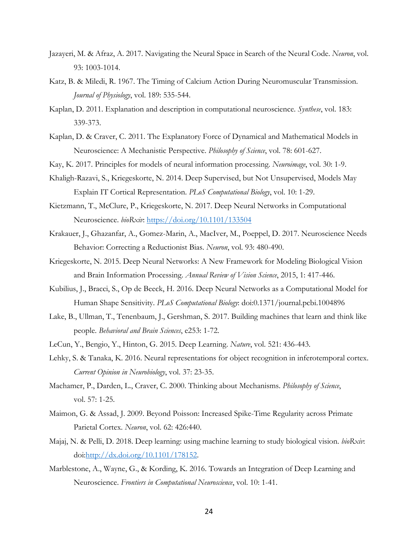- Jazayeri, M. & Afraz, A. 2017. Navigating the Neural Space in Search of the Neural Code. *Neuron*, vol. 93: 1003-1014.
- Katz, B. & Miledi, R. 1967. The Timing of Calcium Action During Neuromuscular Transmission. *Journal of Physiology*, vol. 189: 535-544.
- Kaplan, D. 2011. Explanation and description in computational neuroscience. *Synthese*, vol. 183: 339-373.
- Kaplan, D. & Craver, C. 2011. The Explanatory Force of Dynamical and Mathematical Models in Neuroscience: A Mechanistic Perspective. *Philosophy of Science*, vol. 78: 601-627.
- Kay, K. 2017. Principles for models of neural information processing. *Neuroimage*, vol. 30: 1-9.
- Khaligh-Razavi, S., Kriegeskorte, N. 2014. Deep Supervised, but Not Unsupervised, Models May Explain IT Cortical Representation. *PLoS Computational Biology*, vol. 10: 1-29.
- Kietzmann, T., McClure, P., Kriegeskorte, N. 2017. Deep Neural Networks in Computational Neuroscience. *bioRxiv*: https://doi.org/10.1101/133504
- Krakauer, J., Ghazanfar, A., Gomez-Marin, A., MacIver, M., Poeppel, D. 2017. Neuroscience Needs Behavior: Correcting a Reductionist Bias. *Neuron*, vol. 93: 480-490.
- Kriegeskorte, N. 2015. Deep Neural Networks: A New Framework for Modeling Biological Vision and Brain Information Processing. *Annual Review of Vision Science*, 2015, 1: 417-446.
- Kubilius, J., Bracci, S., Op de Beeck, H. 2016. Deep Neural Networks as a Computational Model for Human Shape Sensitivity. *PLoS Computational Biology*: doi:0.1371/journal.pcbi.1004896
- Lake, B., Ullman, T., Tenenbaum, J., Gershman, S. 2017. Building machines that learn and think like people. *Behavioral and Brain Sciences*, e253: 1-72.
- LeCun, Y., Bengio, Y., Hinton, G. 2015. Deep Learning. *Nature*, vol. 521: 436-443.
- Lehky, S. & Tanaka, K. 2016. Neural representations for object recognition in inferotemporal cortex. *Current Opinion in Neurobiology*, vol. 37: 23-35.
- Machamer, P., Darden, L., Craver, C. 2000. Thinking about Mechanisms. *Philosophy of Science*, vol. 57: 1-25.
- Maimon, G. & Assad, J. 2009. Beyond Poisson: Increased Spike-Time Regularity across Primate Parietal Cortex. *Neuron*, vol. 62: 426:440.
- Majaj, N. & Pelli, D. 2018. Deep learning: using machine learning to study biological vision. *bioRxiv*: doi:http://dx.doi.org/10.1101/178152.
- Marblestone, A., Wayne, G., & Kording, K. 2016. Towards an Integration of Deep Learning and Neuroscience. *Frontiers in Computational Neuroscience*, vol. 10: 1-41.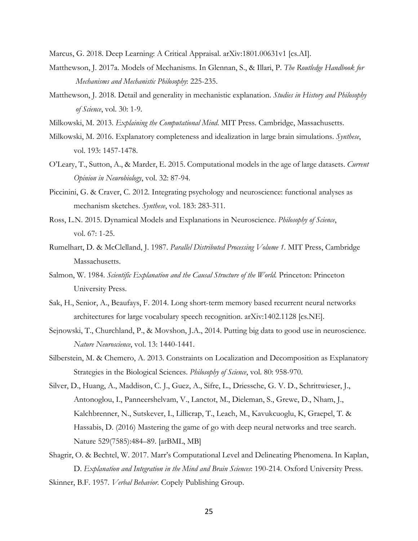Marcus, G. 2018. Deep Learning: A Critical Appraisal. arXiv:1801.00631v1 [cs.AI].

- Matthewson, J. 2017a. Models of Mechanisms. In Glennan, S., & Illari, P. *The Routledge Handbook for Mechanisms and Mechanistic Philosophy*: 225-235.
- Matthewson, J. 2018. Detail and generality in mechanistic explanation. *Studies in History and Philosophy of Science*, vol. 30: 1-9.
- Milkowski, M. 2013. *Explaining the Computational Mind*. MIT Press. Cambridge, Massachusetts.
- Milkowski, M. 2016. Explanatory completeness and idealization in large brain simulations. *Synthese*, vol. 193: 1457-1478.
- O'Leary, T., Sutton, A., & Marder, E. 2015. Computational models in the age of large datasets. *Current Opinion in Neurobiology*, vol. 32: 87-94.
- Piccinini, G. & Craver, C. 2012. Integrating psychology and neuroscience: functional analyses as mechanism sketches. *Synthese*, vol. 183: 283-311.
- Ross, L.N. 2015. Dynamical Models and Explanations in Neuroscience. *Philosophy of Science*, vol. 67: 1-25.
- Rumelhart, D. & McClelland, J. 1987. *Parallel Distributed Processing Volume 1.* MIT Press, Cambridge Massachusetts.
- Salmon, W. 1984. *Scientific Explanation and the Causal Structure of the World*. Princeton: Princeton University Press.
- Sak, H., Senior, A., Beaufays, F. 2014. Long short-term memory based recurrent neural networks architectures for large vocabulary speech recognition. arXiv:1402.1128 [cs.NE].
- Sejnowski, T., Churchland, P., & Movshon, J.A., 2014. Putting big data to good use in neuroscience. *Nature Neuroscience*, vol. 13: 1440-1441.
- Silberstein, M. & Chemero, A. 2013. Constraints on Localization and Decomposition as Explanatory Strategies in the Biological Sciences. *Philosophy of Science*, vol. 80: 958-970.
- Silver, D., Huang, A., Maddison, C. J., Guez, A., Sifre, L., Driessche, G. V. D., Schrittwieser, J., Antonoglou, I., Panneershelvam, V., Lanctot, M., Dieleman, S., Grewe, D., Nham, J., Kalchbrenner, N., Sutskever, I., Lillicrap, T., Leach, M., Kavukcuoglu, K, Graepel, T. & Hassabis, D. (2016) Mastering the game of go with deep neural networks and tree search. Nature 529(7585):484–89. [arBML, MB]
- Shagrir, O. & Bechtel, W. 2017. Marr's Computational Level and Delineating Phenomena. In Kaplan, D. *Explanation and Integration in the Mind and Brain Sciences*: 190-214. Oxford University Press. Skinner, B.F. 1957. *Verbal Behavior.* Copely Publishing Group.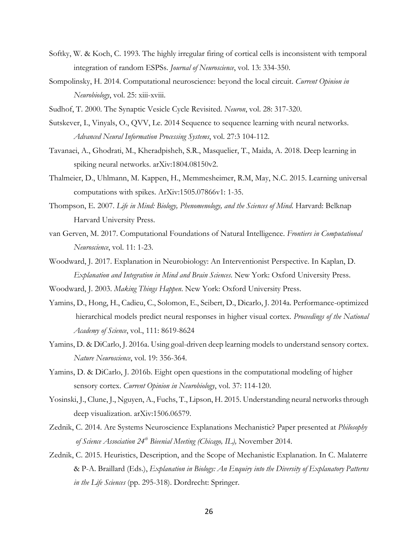- Softky, W. & Koch, C. 1993. The highly irregular firing of cortical cells is inconsistent with temporal integration of random ESPSs. *Journal of Neuroscience*, vol. 13: 334-350.
- Sompolinsky, H. 2014. Computational neuroscience: beyond the local circuit. *Current Opinion in Neurobiology*, vol. 25: xiii-xviii.
- Sudhof, T. 2000. The Synaptic Vesicle Cycle Revisited. *Neuron*, vol. 28: 317-320.
- Sutskever, I., Vinyals, O., QVV, Le. 2014 Sequence to sequence learning with neural networks. *Advanced Neural Information Processing Systems*, vol. 27:3 104-112.
- Tavanaei, A., Ghodrati, M., Kheradpisheh, S.R., Masquelier, T., Maida, A. 2018. Deep learning in spiking neural networks. arXiv:1804.08150v2.
- Thalmeier, D., Uhlmann, M. Kappen, H., Memmesheimer, R.M, May, N.C. 2015. Learning universal computations with spikes. ArXiv:1505.07866v1: 1-35.
- Thompson, E. 2007. *Life in Mind: Biology, Phenomenology, and the Sciences of Mind*. Harvard: Belknap Harvard University Press.
- van Gerven, M. 2017. Computational Foundations of Natural Intelligence. *Frontiers in Computational Neuroscience*, vol. 11: 1-23.
- Woodward, J. 2017. Explanation in Neurobiology: An Interventionist Perspective. In Kaplan, D. *Explanation and Integration in Mind and Brain Sciences*. New York: Oxford University Press.
- Woodward, J. 2003. *Making Things Happen*. New York: Oxford University Press.
- Yamins, D., Hong, H., Cadieu, C., Solomon, E., Seibert, D., Dicarlo, J. 2014a. Performance-optimized hierarchical models predict neural responses in higher visual cortex. *Proceedings of the National Academy of Science*, vol., 111: 8619-8624
- Yamins, D. & DiCarlo, J. 2016a. Using goal-driven deep learning models to understand sensory cortex. *Nature Neuroscience*, vol. 19: 356-364.
- Yamins, D. & DiCarlo, J. 2016b. Eight open questions in the computational modeling of higher sensory cortex. *Current Opinion in Neurobiology*, vol. 37: 114-120.
- Yosinski, J., Clune, J., Nguyen, A., Fuchs, T., Lipson, H. 2015. Understanding neural networks through deep visualization. arXiv:1506.06579.
- Zednik, C. 2014. Are Systems Neuroscience Explanations Mechanistic? Paper presented at *Philosophy of Science Association 24th Bieenial Meeting (Chicago, IL),* November 2014.
- Zednik, C. 2015. Heuristics, Description, and the Scope of Mechanistic Explanation. In C. Malaterre & P-A. Braillard (Eds.), *Explanation in Biology: An Enquiry into the Diversity of Explanatory Patterns in the Life Sciences* (pp. 295-318). Dordrecht: Springer.